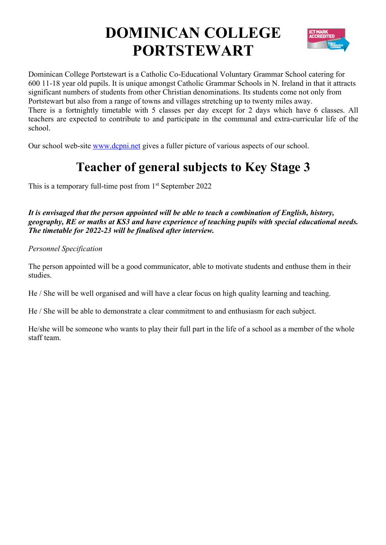# **DOMINICAN COLLEGE PORTSTEWART**



Dominican College Portstewart is a Catholic Co-Educational Voluntary Grammar School catering for 600 11-18 year old pupils. It is unique amongst Catholic Grammar Schools in N. Ireland in that it attracts significant numbers of students from other Christian denominations. Its students come not only from Portstewart but also from a range of towns and villages stretching up to twenty miles away. There is a fortnightly timetable with 5 classes per day except for 2 days which have 6 classes. All teachers are expected to contribute to and participate in the communal and extra-curricular life of the school.

Our school web-site www.dcpni.net gives a fuller picture of various aspects of our school.

### **Teacher of general subjects to Key Stage 3**

This is a temporary full-time post from  $1<sup>st</sup>$  September 2022

*It is envisaged that the person appointed will be able to teach a combination of English, history, geography, RE or maths at KS3 and have experience of teaching pupils with special educational needs. The timetable for 2022-23 will be finalised after interview.* 

*Personnel Specification*

The person appointed will be a good communicator, able to motivate students and enthuse them in their studies.

He / She will be well organised and will have a clear focus on high quality learning and teaching.

He / She will be able to demonstrate a clear commitment to and enthusiasm for each subject.

He/she will be someone who wants to play their full part in the life of a school as a member of the whole staff team.